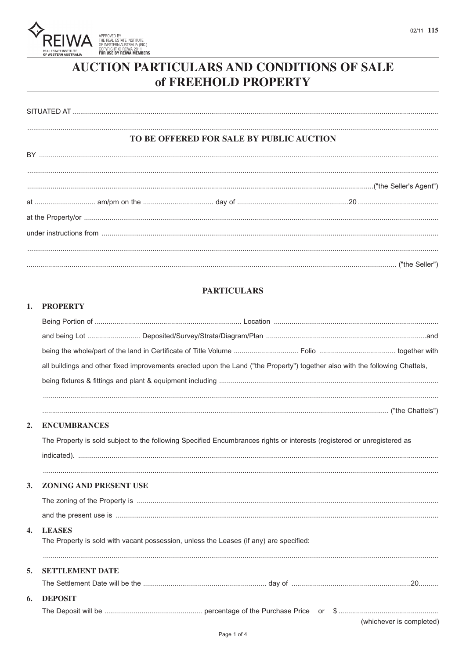

# AUCTION PARTICULARS AND CONDITIONS OF SALE of FREEHOLD PROPERTY

|                                                                                                                                                                                                                                                                                                             | TO BE OFFERED FOR SALE BY PUBLIC AUCTION |  |
|-------------------------------------------------------------------------------------------------------------------------------------------------------------------------------------------------------------------------------------------------------------------------------------------------------------|------------------------------------------|--|
| $BY\ _{1},\ _{2},\ _{3},\ _{4},\ _{5},\ _{6},\ _{7},\ _{8},\ _{9},\ _{10},\ _{11},\ _{12},\ _{13},\ _{14},\ _{15},\ _{16},\ _{17},\ _{18},\ _{19},\ _{10},\ _{10},\ _{11},\ _{10},\ _{11},\ _{10},\ _{11},\ _{10},\ _{11},\ _{10},\ _{11},\ _{10},\ _{11},\ _{10},\ _{11},\ _{10},\ _{11},\ _{10},\ _{11},$ |                                          |  |
|                                                                                                                                                                                                                                                                                                             |                                          |  |
|                                                                                                                                                                                                                                                                                                             |                                          |  |
|                                                                                                                                                                                                                                                                                                             |                                          |  |
|                                                                                                                                                                                                                                                                                                             |                                          |  |
|                                                                                                                                                                                                                                                                                                             |                                          |  |
|                                                                                                                                                                                                                                                                                                             |                                          |  |

### **PARTICULARS**

### 1. PROPERTY

|              | all buildings and other fixed improvements erected upon the Land ("the Property") together also with the following Chattels, |
|--------------|------------------------------------------------------------------------------------------------------------------------------|
|              |                                                                                                                              |
|              |                                                                                                                              |
| 2.           | <b>ENCUMBRANCES</b>                                                                                                          |
|              | The Property is sold subject to the following Specified Encumbrances rights or interests (registered or unregistered as      |
|              |                                                                                                                              |
| 3.           | ZONING AND PRESENT USE                                                                                                       |
|              |                                                                                                                              |
|              |                                                                                                                              |
| $\mathbf{4}$ | <b>LEASES</b>                                                                                                                |
|              | The Property is sold with vacant possession, unless the Leases (if any) are specified:                                       |
| 5.           | <b>SETTLEMENT DATE</b>                                                                                                       |
|              |                                                                                                                              |
| 6.           | <b>DEPOSIT</b>                                                                                                               |
|              | (whichever is completed)                                                                                                     |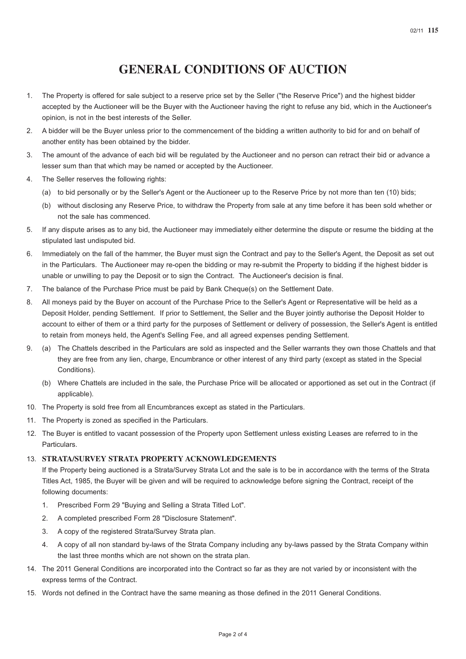## **GENERAL CONDITIONS OF AUCTION**

- 1. The Property is offered for sale subject to a reserve price set by the Seller ("the Reserve Price") and the highest bidder accepted by the Auctioneer will be the Buyer with the Auctioneer having the right to refuse any bid, which in the Auctioneer's opinion, is not in the best interests of the Seller.
- 2. A bidder will be the Buyer unless prior to the commencement of the bidding a written authority to bid for and on behalf of another entity has been obtained by the bidder.
- 3. The amount of the advance of each bid will be regulated by the Auctioneer and no person can retract their bid or advance a lesser sum than that which may be named or accepted by the Auctioneer.
- 4. The Seller reserves the following rights:
	- (a) to bid personally or by the Seller's Agent or the Auctioneer up to the Reserve Price by not more than ten (10) bids;
	- (b) without disclosing any Reserve Price, to withdraw the Property from sale at any time before it has been sold whether or not the sale has commenced.
- 5. If any dispute arises as to any bid, the Auctioneer may immediately either determine the dispute or resume the bidding at the stipulated last undisputed bid.
- 6. Immediately on the fall of the hammer, the Buyer must sign the Contract and pay to the Seller's Agent, the Deposit as set out in the Particulars. The Auctioneer may re-open the bidding or may re-submit the Property to bidding if the highest bidder is unable or unwilling to pay the Deposit or to sign the Contract. The Auctioneer's decision is final.
- 7. The balance of the Purchase Price must be paid by Bank Cheque(s) on the Settlement Date.
- 8. All moneys paid by the Buyer on account of the Purchase Price to the Seller's Agent or Representative will be held as a Deposit Holder, pending Settlement. If prior to Settlement, the Seller and the Buyer jointly authorise the Deposit Holder to account to either of them or a third party for the purposes of Settlement or delivery of possession, the Seller's Agent is entitled to retain from moneys held, the Agent's Selling Fee, and all agreed expenses pending Settlement.
- 9. (a) The Chattels described in the Particulars are sold as inspected and the Seller warrants they own those Chattels and that they are free from any lien, charge, Encumbrance or other interest of any third party (except as stated in the Special Conditions).
	- (b) Where Chattels are included in the sale, the Purchase Price will be allocated or apportioned as set out in the Contract (if applicable).
- 10. The Property is sold free from all Encumbrances except as stated in the Particulars.
- 11. The Property is zoned as specified in the Particulars.
- 12. The Buyer is entitled to vacant possession of the Property upon Settlement unless existing Leases are referred to in the Particulars.

#### 13. **STRATA/SURVEY STRATA PROPERTY ACKNOWLEDGEMENTS**

If the Property being auctioned is a Strata/Survey Strata Lot and the sale is to be in accordance with the terms of the Strata Titles Act, 1985, the Buyer will be given and will be required to acknowledge before signing the Contract, receipt of the following documents:

- 1. Prescribed Form 29 "Buying and Selling a Strata Titled Lot".
- 2. A completed prescribed Form 28 "Disclosure Statement".
- 3. A copy of the registered Strata/Survey Strata plan.
- 4. A copy of all non standard by-laws of the Strata Company including any by-laws passed by the Strata Company within the last three months which are not shown on the strata plan.
- 14. The 2011 General Conditions are incorporated into the Contract so far as they are not varied by or inconsistent with the express terms of the Contract.
- 15. Words not defined in the Contract have the same meaning as those defined in the 2011 General Conditions.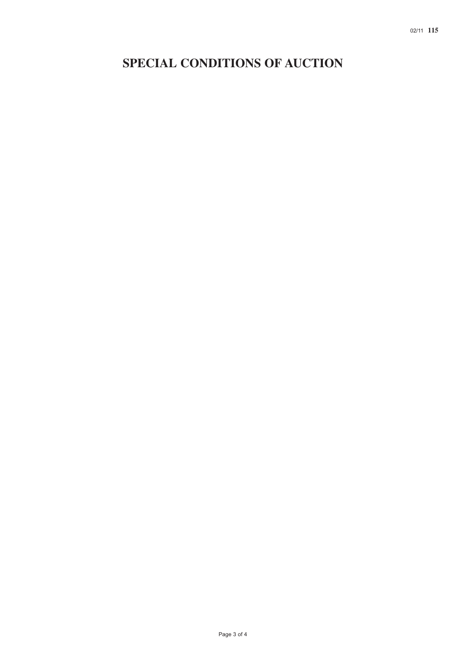# **SPECIAL CONDITIONS OF AUCTION**